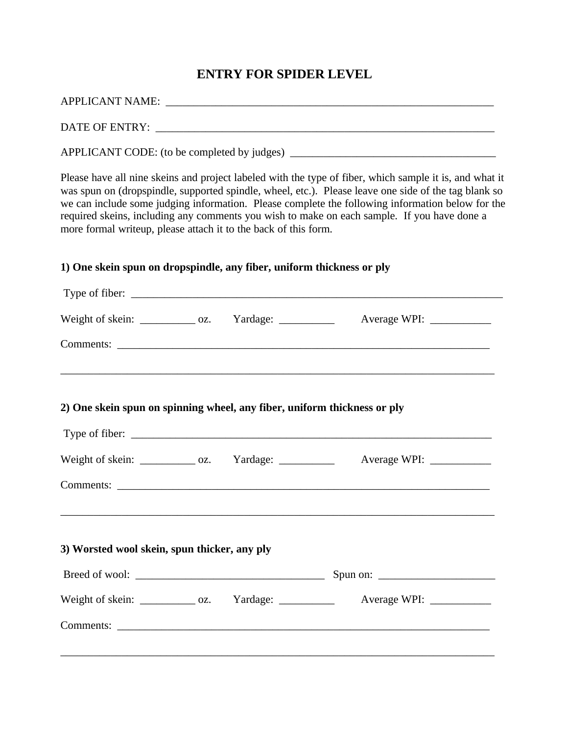## **ENTRY FOR SPIDER LEVEL**

| more formal writeup, please attach it to the back of this form.          |  | Please have all nine skeins and project labeled with the type of fiber, which sample it is, and what it<br>was spun on (dropspindle, supported spindle, wheel, etc.). Please leave one side of the tag blank so<br>we can include some judging information. Please complete the following information below for the<br>required skeins, including any comments you wish to make on each sample. If you have done a |
|--------------------------------------------------------------------------|--|--------------------------------------------------------------------------------------------------------------------------------------------------------------------------------------------------------------------------------------------------------------------------------------------------------------------------------------------------------------------------------------------------------------------|
| 1) One skein spun on dropspindle, any fiber, uniform thickness or ply    |  |                                                                                                                                                                                                                                                                                                                                                                                                                    |
|                                                                          |  |                                                                                                                                                                                                                                                                                                                                                                                                                    |
| Weight of skein: _____________ oz. Yardage: ___________                  |  |                                                                                                                                                                                                                                                                                                                                                                                                                    |
|                                                                          |  |                                                                                                                                                                                                                                                                                                                                                                                                                    |
| 2) One skein spun on spinning wheel, any fiber, uniform thickness or ply |  |                                                                                                                                                                                                                                                                                                                                                                                                                    |
| Weight of skein: _____________ oz. Yardage: ___________                  |  |                                                                                                                                                                                                                                                                                                                                                                                                                    |
|                                                                          |  |                                                                                                                                                                                                                                                                                                                                                                                                                    |
| 3) Worsted wool skein, spun thicker, any ply                             |  |                                                                                                                                                                                                                                                                                                                                                                                                                    |
|                                                                          |  |                                                                                                                                                                                                                                                                                                                                                                                                                    |
| Weight of skein: ____________ oz. Yardage: __________                    |  |                                                                                                                                                                                                                                                                                                                                                                                                                    |
|                                                                          |  |                                                                                                                                                                                                                                                                                                                                                                                                                    |
|                                                                          |  |                                                                                                                                                                                                                                                                                                                                                                                                                    |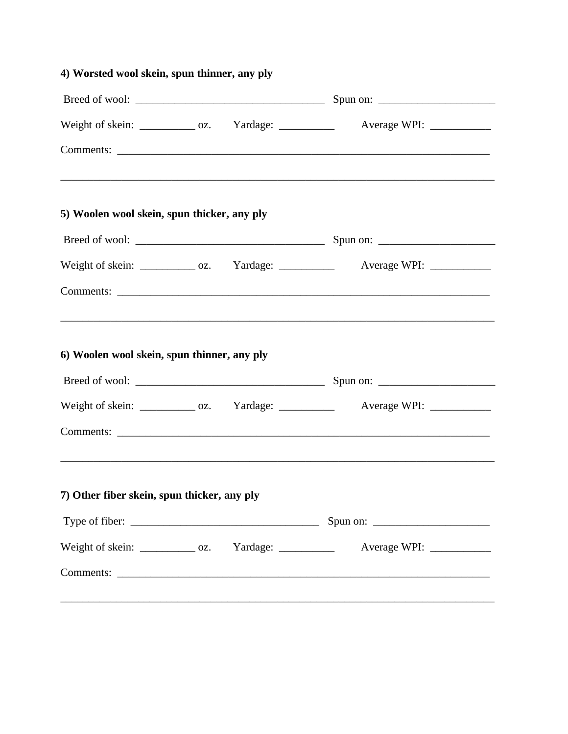|                                             |  | Weight of skein: _____________ oz. Yardage: ____________ Average WPI: __________  |  |
|---------------------------------------------|--|-----------------------------------------------------------------------------------|--|
|                                             |  | ,我们也不能在这里的时候,我们也不能在这里的时候,我们也不能会在这里的时候,我们也不能会在这里的时候,我们也不能会在这里的时候,我们也不能会在这里的时候,我们也不 |  |
| 5) Woolen wool skein, spun thicker, any ply |  |                                                                                   |  |
|                                             |  |                                                                                   |  |
|                                             |  | Weight of skein: ____________ oz. Yardage: ___________ Average WPI: ___________   |  |
|                                             |  |                                                                                   |  |
|                                             |  |                                                                                   |  |
| 6) Woolen wool skein, spun thinner, any ply |  |                                                                                   |  |
|                                             |  |                                                                                   |  |
|                                             |  | Weight of skein: ____________ oz. Yardage: ___________ Average WPI: ____________  |  |
|                                             |  |                                                                                   |  |
| 7) Other fiber skein, spun thicker, any ply |  |                                                                                   |  |
|                                             |  | Spun on:                                                                          |  |
|                                             |  | Weight of skein: _____________ oz. Yardage: ____________ Average WPI: __________  |  |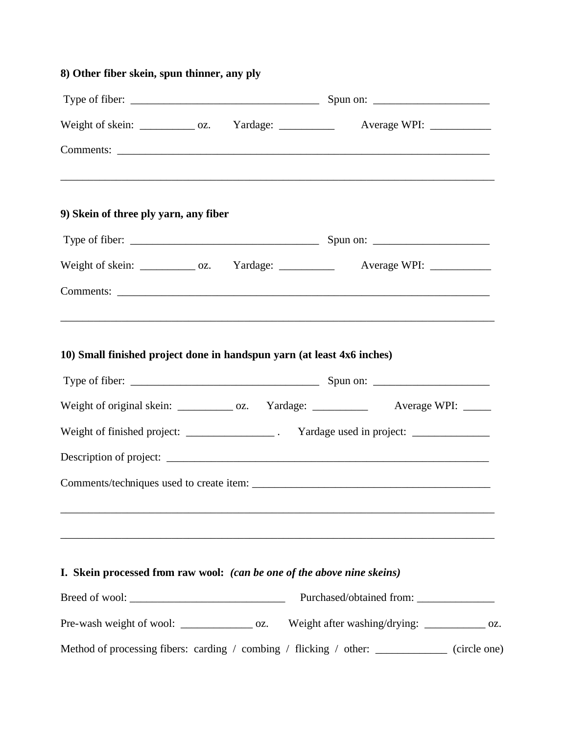| 8) Other fiber skein, spun thinner, any ply                            |  |                                                                                                                                                                            |  |
|------------------------------------------------------------------------|--|----------------------------------------------------------------------------------------------------------------------------------------------------------------------------|--|
|                                                                        |  |                                                                                                                                                                            |  |
|                                                                        |  | Weight of skein: ____________ oz. Yardage: ___________ Average WPI: ____________                                                                                           |  |
|                                                                        |  |                                                                                                                                                                            |  |
| 9) Skein of three ply yarn, any fiber                                  |  |                                                                                                                                                                            |  |
|                                                                        |  |                                                                                                                                                                            |  |
|                                                                        |  | Weight of skein: _____________ oz. Yardage: _____________ Average WPI: __________                                                                                          |  |
|                                                                        |  |                                                                                                                                                                            |  |
| 10) Small finished project done in handspun yarn (at least 4x6 inches) |  | Weight of original skein: _____________ oz. Yardage: _____________ Average WPI: _____<br>Weight of finished project: ________________. Yardage used in project: __________ |  |
|                                                                        |  |                                                                                                                                                                            |  |
|                                                                        |  | I. Skein processed from raw wool: (can be one of the above nine skeins)                                                                                                    |  |
|                                                                        |  | Pre-wash weight of wool: _________________ oz. Weight after washing/drying: ____________ oz.                                                                               |  |
|                                                                        |  | Method of processing fibers: carding / combing / flicking / other: ___________ (circle one)                                                                                |  |